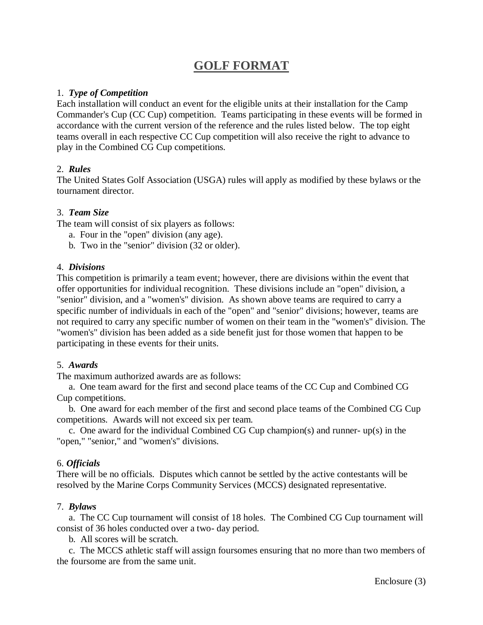# **GOLF FORMAT**

#### 1. *Type of Competition*

Each installation will conduct an event for the eligible units at their installation for the Camp Commander's Cup (CC Cup) competition. Teams participating in these events will be formed in accordance with the current version of the reference and the rules listed below. The top eight teams overall in each respective CC Cup competition will also receive the right to advance to play in the Combined CG Cup competitions.

#### 2. *Rules*

The United States Golf Association (USGA) rules will apply as modified by these bylaws or the tournament director.

#### 3. *Team Size*

The team will consist of six players as follows:

- a. Four in the "open" division (any age).
- b. Two in the "senior" division (32 or older).

#### 4. *Divisions*

This competition is primarily a team event; however, there are divisions within the event that offer opportunities for individual recognition. These divisions include an "open" division, a "senior" division, and a "women's" division. As shown above teams are required to carry a specific number of individuals in each of the "open" and "senior" divisions; however, teams are not required to carry any specific number of women on their team in the "women's" division. The "women's" division has been added as a side benefit just for those women that happen to be participating in these events for their units.

## 5. *Awards*

The maximum authorized awards are as follows:

 a. One team award for the first and second place teams of the CC Cup and Combined CG Cup competitions.

 b. One award for each member of the first and second place teams of the Combined CG Cup competitions. Awards will not exceed six per team.

 c. One award for the individual Combined CG Cup champion(s) and runner- up(s) in the "open," "senior," and "women's" divisions.

## 6. *Officials*

There will be no officials. Disputes which cannot be settled by the active contestants will be resolved by the Marine Corps Community Services (MCCS) designated representative.

#### 7. *Bylaws*

 a. The CC Cup tournament will consist of 18 holes. The Combined CG Cup tournament will consist of 36 holes conducted over a two- day period.

b. All scores will be scratch.

 c. The MCCS athletic staff will assign foursomes ensuring that no more than two members of the foursome are from the same unit.